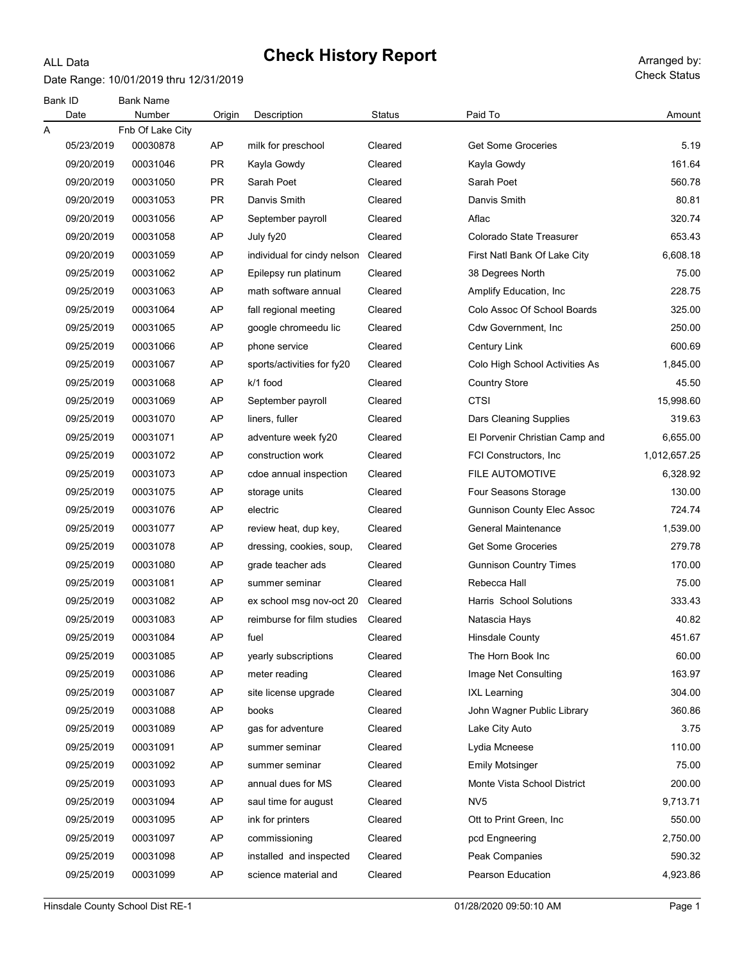### ALL Data

# Check History Report Arranged by:

Date Range: 10/01/2019 thru 12/31/2019

| Bank ID<br>Date | <b>Bank Name</b><br>Number | Origin | Description                 | Status  | Paid To                           | Amount       |
|-----------------|----------------------------|--------|-----------------------------|---------|-----------------------------------|--------------|
| Α               | Fnb Of Lake City           |        |                             |         |                                   |              |
| 05/23/2019      | 00030878                   | AP     | milk for preschool          | Cleared | <b>Get Some Groceries</b>         | 5.19         |
| 09/20/2019      | 00031046                   | PR.    | Kayla Gowdy                 | Cleared | Kayla Gowdy                       | 161.64       |
| 09/20/2019      | 00031050                   | PR.    | Sarah Poet                  | Cleared | Sarah Poet                        | 560.78       |
| 09/20/2019      | 00031053                   | PR.    | Danvis Smith                | Cleared | Danvis Smith                      | 80.81        |
| 09/20/2019      | 00031056                   | AP     | September payroll           | Cleared | Aflac                             | 320.74       |
| 09/20/2019      | 00031058                   | AP     | July fy20                   | Cleared | Colorado State Treasurer          | 653.43       |
| 09/20/2019      | 00031059                   | AP     | individual for cindy nelson | Cleared | First Natl Bank Of Lake City      | 6,608.18     |
| 09/25/2019      | 00031062                   | AP     | Epilepsy run platinum       | Cleared | 38 Degrees North                  | 75.00        |
| 09/25/2019      | 00031063                   | AP     | math software annual        | Cleared | Amplify Education, Inc.           | 228.75       |
| 09/25/2019      | 00031064                   | AP     | fall regional meeting       | Cleared | Colo Assoc Of School Boards       | 325.00       |
| 09/25/2019      | 00031065                   | AP     | google chromeedu lic        | Cleared | Cdw Government, Inc               | 250.00       |
| 09/25/2019      | 00031066                   | AP     | phone service               | Cleared | Century Link                      | 600.69       |
| 09/25/2019      | 00031067                   | AP     | sports/activities for fy20  | Cleared | Colo High School Activities As    | 1,845.00     |
| 09/25/2019      | 00031068                   | AP     | k/1 food                    | Cleared | <b>Country Store</b>              | 45.50        |
| 09/25/2019      | 00031069                   | AP     | September payroll           | Cleared | <b>CTSI</b>                       | 15,998.60    |
| 09/25/2019      | 00031070                   | AP     | liners, fuller              | Cleared | Dars Cleaning Supplies            | 319.63       |
| 09/25/2019      | 00031071                   | AP     | adventure week fy20         | Cleared | El Porvenir Christian Camp and    | 6,655.00     |
| 09/25/2019      | 00031072                   | AP     | construction work           | Cleared | FCI Constructors, Inc.            | 1,012,657.25 |
| 09/25/2019      | 00031073                   | AP     | cdoe annual inspection      | Cleared | <b>FILE AUTOMOTIVE</b>            | 6,328.92     |
| 09/25/2019      | 00031075                   | AP     | storage units               | Cleared | Four Seasons Storage              | 130.00       |
| 09/25/2019      | 00031076                   | AP     | electric                    | Cleared | <b>Gunnison County Elec Assoc</b> | 724.74       |
| 09/25/2019      | 00031077                   | AP     | review heat, dup key,       | Cleared | <b>General Maintenance</b>        | 1,539.00     |
| 09/25/2019      | 00031078                   | AP     | dressing, cookies, soup,    | Cleared | <b>Get Some Groceries</b>         | 279.78       |
| 09/25/2019      | 00031080                   | AP     | grade teacher ads           | Cleared | <b>Gunnison Country Times</b>     | 170.00       |
| 09/25/2019      | 00031081                   | AP     | summer seminar              | Cleared | Rebecca Hall                      | 75.00        |
| 09/25/2019      | 00031082                   | AP     | ex school msg nov-oct 20    | Cleared | Harris School Solutions           | 333.43       |
| 09/25/2019      | 00031083                   | AP     | reimburse for film studies  | Cleared | Natascia Hays                     | 40.82        |
| 09/25/2019      | 00031084                   | AP     | fuel                        | Cleared | <b>Hinsdale County</b>            | 451.67       |
| 09/25/2019      | 00031085                   | AP     | yearly subscriptions        | Cleared | The Horn Book Inc                 | 60.00        |
| 09/25/2019      | 00031086                   | AP     | meter reading               | Cleared | Image Net Consulting              | 163.97       |
| 09/25/2019      | 00031087                   | AP     | site license upgrade        | Cleared | <b>IXL Learning</b>               | 304.00       |
| 09/25/2019      | 00031088                   | AP     | books                       | Cleared | John Wagner Public Library        | 360.86       |
| 09/25/2019      | 00031089                   | AP     | gas for adventure           | Cleared | Lake City Auto                    | 3.75         |
| 09/25/2019      | 00031091                   | AP     | summer seminar              | Cleared | Lydia Mcneese                     | 110.00       |
| 09/25/2019      | 00031092                   | AP     | summer seminar              | Cleared | <b>Emily Motsinger</b>            | 75.00        |
| 09/25/2019      | 00031093                   | AP     | annual dues for MS          | Cleared | Monte Vista School District       | 200.00       |
| 09/25/2019      | 00031094                   | AP     | saul time for august        | Cleared | NV <sub>5</sub>                   | 9,713.71     |
| 09/25/2019      | 00031095                   | AP     | ink for printers            | Cleared | Ott to Print Green, Inc.          | 550.00       |
| 09/25/2019      | 00031097                   | AP     | commissioning               | Cleared | pcd Engneering                    | 2,750.00     |
| 09/25/2019      | 00031098                   | AP     | installed and inspected     | Cleared | Peak Companies                    | 590.32       |
| 09/25/2019      | 00031099                   | AP     | science material and        | Cleared | Pearson Education                 | 4,923.86     |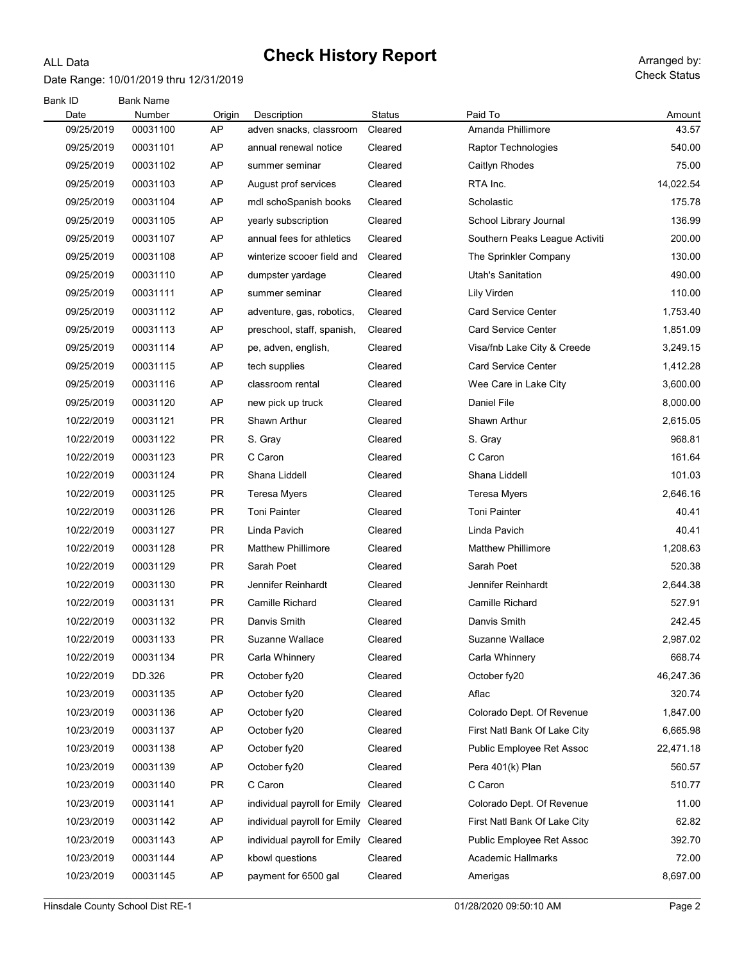### Date Range: 10/01/2019 thru 12/31/2019

ALL Data

| Bank ID    | <b>Bank Name</b> |           |                                      |               |                                |           |
|------------|------------------|-----------|--------------------------------------|---------------|--------------------------------|-----------|
| Date       | Number           | Origin    | Description                          | <b>Status</b> | Paid To                        | Amount    |
| 09/25/2019 | 00031100         | AP        | adven snacks, classroom              | Cleared       | Amanda Phillimore              | 43.57     |
| 09/25/2019 | 00031101         | AP        | annual renewal notice                | Cleared       | Raptor Technologies            | 540.00    |
| 09/25/2019 | 00031102         | AP        | summer seminar                       | Cleared       | Caitlyn Rhodes                 | 75.00     |
| 09/25/2019 | 00031103         | AP        | August prof services                 | Cleared       | RTA Inc.                       | 14,022.54 |
| 09/25/2019 | 00031104         | AP        | mdl schoSpanish books                | Cleared       | Scholastic                     | 175.78    |
| 09/25/2019 | 00031105         | AP        | yearly subscription                  | Cleared       | School Library Journal         | 136.99    |
| 09/25/2019 | 00031107         | AP        | annual fees for athletics            | Cleared       | Southern Peaks League Activiti | 200.00    |
| 09/25/2019 | 00031108         | AP        | winterize scooer field and           | Cleared       | The Sprinkler Company          | 130.00    |
| 09/25/2019 | 00031110         | AP        | dumpster yardage                     | Cleared       | Utah's Sanitation              | 490.00    |
| 09/25/2019 | 00031111         | AP        | summer seminar                       | Cleared       | Lily Virden                    | 110.00    |
| 09/25/2019 | 00031112         | AP        | adventure, gas, robotics,            | Cleared       | <b>Card Service Center</b>     | 1,753.40  |
| 09/25/2019 | 00031113         | AP        | preschool, staff, spanish,           | Cleared       | <b>Card Service Center</b>     | 1,851.09  |
| 09/25/2019 | 00031114         | AP        | pe, adven, english,                  | Cleared       | Visa/fnb Lake City & Creede    | 3,249.15  |
| 09/25/2019 | 00031115         | AP        | tech supplies                        | Cleared       | <b>Card Service Center</b>     | 1,412.28  |
| 09/25/2019 | 00031116         | AP        | classroom rental                     | Cleared       | Wee Care in Lake City          | 3,600.00  |
| 09/25/2019 | 00031120         | AP        | new pick up truck                    | Cleared       | Daniel File                    | 8,000.00  |
| 10/22/2019 | 00031121         | PR.       | Shawn Arthur                         | Cleared       | Shawn Arthur                   | 2,615.05  |
| 10/22/2019 | 00031122         | <b>PR</b> | S. Gray                              | Cleared       | S. Gray                        | 968.81    |
| 10/22/2019 | 00031123         | PR.       | C Caron                              | Cleared       | C Caron                        | 161.64    |
| 10/22/2019 | 00031124         | <b>PR</b> | Shana Liddell                        | Cleared       | Shana Liddell                  | 101.03    |
| 10/22/2019 | 00031125         | <b>PR</b> | Teresa Myers                         | Cleared       | Teresa Myers                   | 2,646.16  |
| 10/22/2019 | 00031126         | <b>PR</b> | <b>Toni Painter</b>                  | Cleared       | <b>Toni Painter</b>            | 40.41     |
| 10/22/2019 | 00031127         | PR.       | Linda Pavich                         | Cleared       | Linda Pavich                   | 40.41     |
| 10/22/2019 | 00031128         | <b>PR</b> | <b>Matthew Phillimore</b>            | Cleared       | <b>Matthew Phillimore</b>      | 1,208.63  |
| 10/22/2019 | 00031129         | <b>PR</b> | Sarah Poet                           | Cleared       | Sarah Poet                     | 520.38    |
| 10/22/2019 | 00031130         | <b>PR</b> | Jennifer Reinhardt                   | Cleared       | Jennifer Reinhardt             | 2,644.38  |
| 10/22/2019 | 00031131         | <b>PR</b> | Camille Richard                      | Cleared       | Camille Richard                | 527.91    |
| 10/22/2019 | 00031132         | PR.       | Danvis Smith                         | Cleared       | Danvis Smith                   | 242.45    |
| 10/22/2019 | 00031133         | PR        | Suzanne Wallace                      | Cleared       | Suzanne Wallace                | 2,987.02  |
| 10/22/2019 | 00031134         | <b>PR</b> | Carla Whinnery                       | Cleared       | Carla Whinnery                 | 668.74    |
| 10/22/2019 | DD.326           | <b>PR</b> | October fy20                         | Cleared       | October fy20                   | 46,247.36 |
| 10/23/2019 | 00031135         | AP        | October fy20                         | Cleared       | Aflac                          | 320.74    |
| 10/23/2019 | 00031136         | AP        | October fy20                         | Cleared       | Colorado Dept. Of Revenue      | 1,847.00  |
| 10/23/2019 | 00031137         | AP        | October fy20                         | Cleared       | First Natl Bank Of Lake City   | 6,665.98  |
| 10/23/2019 | 00031138         | AP        | October fy20                         | Cleared       | Public Employee Ret Assoc      | 22,471.18 |
| 10/23/2019 | 00031139         | AP        | October fy20                         | Cleared       | Pera 401(k) Plan               | 560.57    |
| 10/23/2019 | 00031140         | <b>PR</b> | C Caron                              | Cleared       | C Caron                        | 510.77    |
| 10/23/2019 | 00031141         | AP        | individual payroll for Emily Cleared |               | Colorado Dept. Of Revenue      | 11.00     |
| 10/23/2019 | 00031142         | AP        | individual payroll for Emily Cleared |               | First Natl Bank Of Lake City   | 62.82     |
| 10/23/2019 | 00031143         | AP        | individual payroll for Emily Cleared |               | Public Employee Ret Assoc      | 392.70    |
| 10/23/2019 | 00031144         | AP        | kbowl questions                      | Cleared       | Academic Hallmarks             | 72.00     |
| 10/23/2019 | 00031145         | AP        | payment for 6500 gal                 | Cleared       | Amerigas                       | 8,697.00  |
|            |                  |           |                                      |               |                                |           |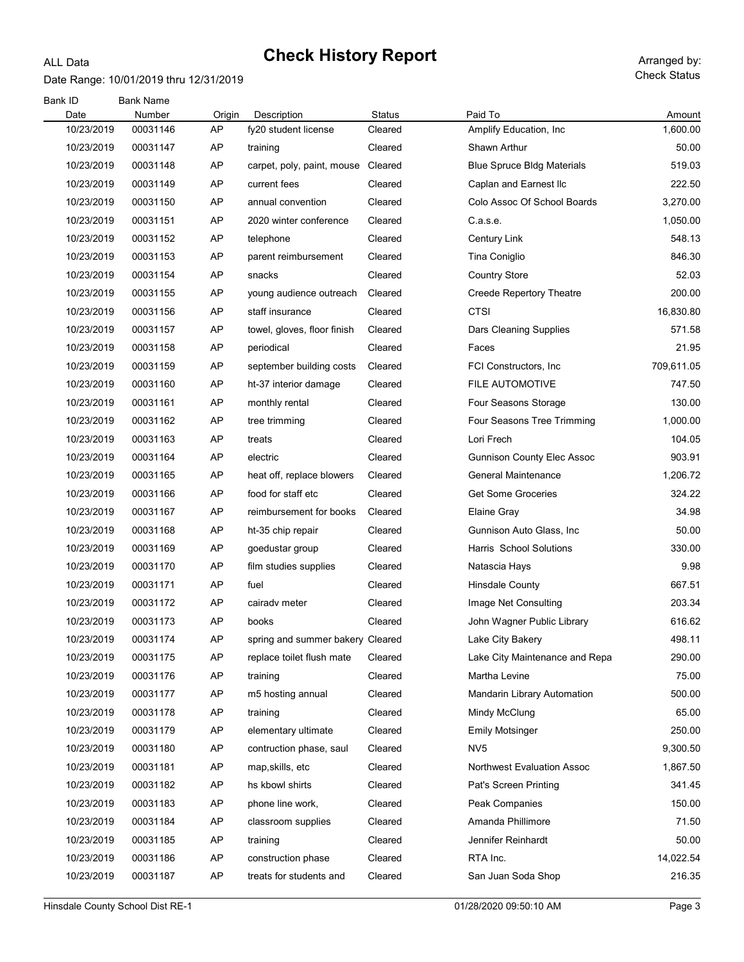### Date Range: 10/01/2019 thru 12/31/2019

ALL Data

| Bank ID<br>Date | <b>Bank Name</b><br>Number | Origin | Description                      | <b>Status</b> | Paid To                           | Amount     |
|-----------------|----------------------------|--------|----------------------------------|---------------|-----------------------------------|------------|
| 10/23/2019      | 00031146                   | AP     | fy20 student license             | Cleared       | Amplify Education, Inc.           | 1,600.00   |
| 10/23/2019      | 00031147                   | AP     | training                         | Cleared       | Shawn Arthur                      | 50.00      |
| 10/23/2019      | 00031148                   | AP     | carpet, poly, paint, mouse       | Cleared       | <b>Blue Spruce Bldg Materials</b> | 519.03     |
| 10/23/2019      | 00031149                   | AP     | current fees                     | Cleared       | Caplan and Earnest IIc            | 222.50     |
| 10/23/2019      | 00031150                   | AP     | annual convention                | Cleared       | Colo Assoc Of School Boards       | 3,270.00   |
| 10/23/2019      | 00031151                   | AP     | 2020 winter conference           | Cleared       | C.a.s.e.                          | 1,050.00   |
| 10/23/2019      | 00031152                   | AP     | telephone                        | Cleared       | <b>Century Link</b>               | 548.13     |
| 10/23/2019      | 00031153                   | AP     | parent reimbursement             | Cleared       | Tina Coniglio                     | 846.30     |
| 10/23/2019      | 00031154                   | AP     | snacks                           | Cleared       | <b>Country Store</b>              | 52.03      |
| 10/23/2019      | 00031155                   | AP     | young audience outreach          | Cleared       | <b>Creede Repertory Theatre</b>   | 200.00     |
| 10/23/2019      | 00031156                   | AP     | staff insurance                  | Cleared       | CTSI                              | 16,830.80  |
| 10/23/2019      | 00031157                   | AP     | towel, gloves, floor finish      | Cleared       | Dars Cleaning Supplies            | 571.58     |
| 10/23/2019      | 00031158                   | AP     | periodical                       | Cleared       | Faces                             | 21.95      |
| 10/23/2019      | 00031159                   | AP     | september building costs         | Cleared       | FCI Constructors, Inc.            | 709,611.05 |
| 10/23/2019      | 00031160                   | AP     | ht-37 interior damage            | Cleared       | <b>FILE AUTOMOTIVE</b>            | 747.50     |
| 10/23/2019      | 00031161                   | AP     | monthly rental                   | Cleared       | Four Seasons Storage              | 130.00     |
| 10/23/2019      | 00031162                   | AP     | tree trimming                    | Cleared       | Four Seasons Tree Trimming        | 1,000.00   |
| 10/23/2019      | 00031163                   | AP     | treats                           | Cleared       | Lori Frech                        | 104.05     |
| 10/23/2019      | 00031164                   | AP     | electric                         | Cleared       | <b>Gunnison County Elec Assoc</b> | 903.91     |
| 10/23/2019      | 00031165                   | AP     | heat off, replace blowers        | Cleared       | <b>General Maintenance</b>        | 1,206.72   |
| 10/23/2019      | 00031166                   | AP     | food for staff etc               | Cleared       | <b>Get Some Groceries</b>         | 324.22     |
| 10/23/2019      | 00031167                   | AP     | reimbursement for books          | Cleared       | Elaine Gray                       | 34.98      |
| 10/23/2019      | 00031168                   | AP     | ht-35 chip repair                | Cleared       | Gunnison Auto Glass, Inc          | 50.00      |
| 10/23/2019      | 00031169                   | AP     | goedustar group                  | Cleared       | Harris School Solutions           | 330.00     |
| 10/23/2019      | 00031170                   | AP     | film studies supplies            | Cleared       | Natascia Hays                     | 9.98       |
| 10/23/2019      | 00031171                   | AP     | fuel                             | Cleared       | <b>Hinsdale County</b>            | 667.51     |
| 10/23/2019      | 00031172                   | AP     | cairady meter                    | Cleared       | Image Net Consulting              | 203.34     |
| 10/23/2019      | 00031173                   | AP     | books                            | Cleared       | John Wagner Public Library        | 616.62     |
| 10/23/2019      | 00031174                   | AP     | spring and summer bakery Cleared |               | Lake City Bakery                  | 498.11     |
| 10/23/2019      | 00031175                   | AP     | replace toilet flush mate        | Cleared       | Lake City Maintenance and Repa    | 290.00     |
| 10/23/2019      | 00031176                   | AP     | training                         | Cleared       | Martha Levine                     | 75.00      |
| 10/23/2019      | 00031177                   | AP     | m5 hosting annual                | Cleared       | Mandarin Library Automation       | 500.00     |
| 10/23/2019      | 00031178                   | AP     | training                         | Cleared       | Mindy McClung                     | 65.00      |
| 10/23/2019      | 00031179                   | AP     | elementary ultimate              | Cleared       | <b>Emily Motsinger</b>            | 250.00     |
| 10/23/2019      | 00031180                   | AP     | contruction phase, saul          | Cleared       | NV <sub>5</sub>                   | 9,300.50   |
| 10/23/2019      | 00031181                   | AP     | map, skills, etc                 | Cleared       | <b>Northwest Evaluation Assoc</b> | 1,867.50   |
| 10/23/2019      | 00031182                   | AP     | hs kbowl shirts                  | Cleared       | Pat's Screen Printing             | 341.45     |
| 10/23/2019      | 00031183                   | AP     | phone line work,                 | Cleared       | Peak Companies                    | 150.00     |
| 10/23/2019      | 00031184                   | AP     | classroom supplies               | Cleared       | Amanda Phillimore                 | 71.50      |
| 10/23/2019      | 00031185                   | AP     | training                         | Cleared       | Jennifer Reinhardt                | 50.00      |
| 10/23/2019      | 00031186                   | AP     | construction phase               | Cleared       | RTA Inc.                          | 14,022.54  |
| 10/23/2019      | 00031187                   | AP     | treats for students and          | Cleared       | San Juan Soda Shop                | 216.35     |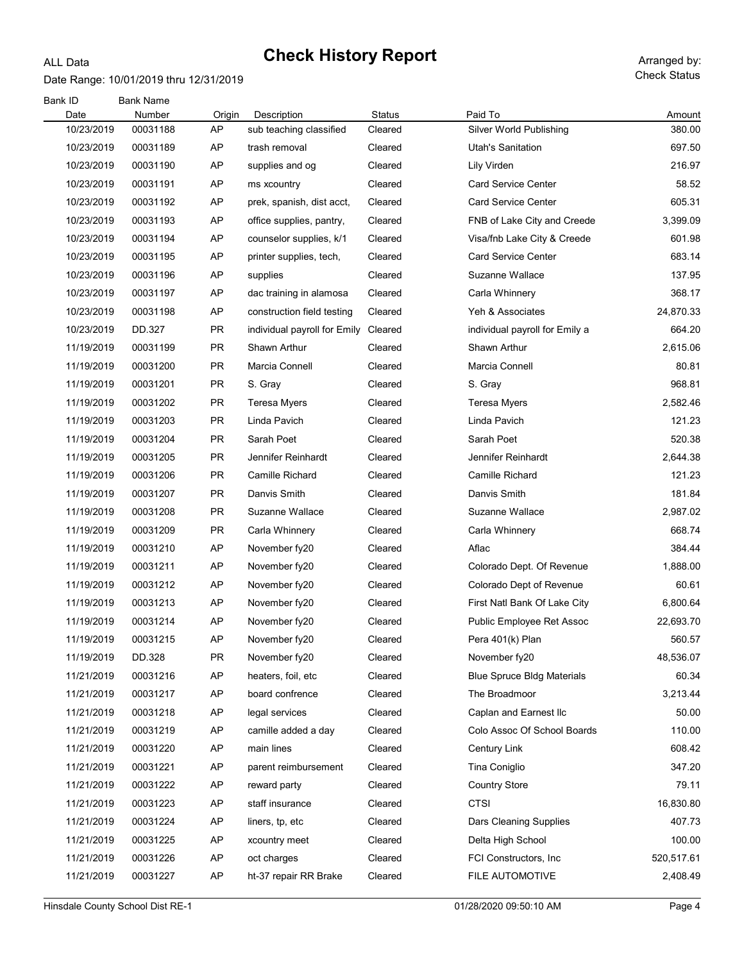#### Date Range: 10/01/2019 thru 12/31/2019

ALL Data

| Bank ID<br>Date | <b>Bank Name</b><br>Number | Origin    | Description                  | <b>Status</b> | Paid To                           | Amount     |
|-----------------|----------------------------|-----------|------------------------------|---------------|-----------------------------------|------------|
| 10/23/2019      | 00031188                   | AP        | sub teaching classified      | Cleared       | <b>Silver World Publishing</b>    | 380.00     |
| 10/23/2019      | 00031189                   | AP        | trash removal                | Cleared       | <b>Utah's Sanitation</b>          | 697.50     |
| 10/23/2019      | 00031190                   | AP        | supplies and og              | Cleared       | Lily Virden                       | 216.97     |
| 10/23/2019      | 00031191                   | AP        | ms xcountry                  | Cleared       | <b>Card Service Center</b>        | 58.52      |
| 10/23/2019      | 00031192                   | AP        | prek, spanish, dist acct,    | Cleared       | <b>Card Service Center</b>        | 605.31     |
| 10/23/2019      | 00031193                   | AP        | office supplies, pantry,     | Cleared       | FNB of Lake City and Creede       | 3,399.09   |
| 10/23/2019      | 00031194                   | AP        | counselor supplies, k/1      | Cleared       | Visa/fnb Lake City & Creede       | 601.98     |
| 10/23/2019      | 00031195                   | AP        | printer supplies, tech,      | Cleared       | <b>Card Service Center</b>        | 683.14     |
| 10/23/2019      | 00031196                   | AP        | supplies                     | Cleared       | Suzanne Wallace                   | 137.95     |
| 10/23/2019      | 00031197                   | AP        | dac training in alamosa      | Cleared       | Carla Whinnery                    | 368.17     |
| 10/23/2019      | 00031198                   | AP        | construction field testing   | Cleared       | Yeh & Associates                  | 24,870.33  |
| 10/23/2019      | DD.327                     | PR.       | individual payroll for Emily | Cleared       | individual payroll for Emily a    | 664.20     |
| 11/19/2019      | 00031199                   | PR.       | Shawn Arthur                 | Cleared       | Shawn Arthur                      | 2,615.06   |
| 11/19/2019      | 00031200                   | PR.       | Marcia Connell               | Cleared       | Marcia Connell                    | 80.81      |
| 11/19/2019      | 00031201                   | <b>PR</b> | S. Gray                      | Cleared       | S. Gray                           | 968.81     |
| 11/19/2019      | 00031202                   | PR.       | Teresa Myers                 | Cleared       | Teresa Myers                      | 2,582.46   |
| 11/19/2019      | 00031203                   | PR.       | Linda Pavich                 | Cleared       | Linda Pavich                      | 121.23     |
| 11/19/2019      | 00031204                   | <b>PR</b> | Sarah Poet                   | Cleared       | Sarah Poet                        | 520.38     |
| 11/19/2019      | 00031205                   | <b>PR</b> | Jennifer Reinhardt           | Cleared       | Jennifer Reinhardt                | 2,644.38   |
| 11/19/2019      | 00031206                   | PR.       | Camille Richard              | Cleared       | <b>Camille Richard</b>            | 121.23     |
| 11/19/2019      | 00031207                   | PR.       | Danvis Smith                 | Cleared       | Danvis Smith                      | 181.84     |
| 11/19/2019      | 00031208                   | <b>PR</b> | Suzanne Wallace              | Cleared       | Suzanne Wallace                   | 2,987.02   |
| 11/19/2019      | 00031209                   | <b>PR</b> | Carla Whinnery               | Cleared       | Carla Whinnery                    | 668.74     |
| 11/19/2019      | 00031210                   | AP        | November fy20                | Cleared       | Aflac                             | 384.44     |
| 11/19/2019      | 00031211                   | AP        | November fy20                | Cleared       | Colorado Dept. Of Revenue         | 1,888.00   |
| 11/19/2019      | 00031212                   | AP        | November fy20                | Cleared       | Colorado Dept of Revenue          | 60.61      |
| 11/19/2019      | 00031213                   | AP        | November fy20                | Cleared       | First Natl Bank Of Lake City      | 6,800.64   |
| 11/19/2019      | 00031214                   | AP        | November fy20                | Cleared       | Public Employee Ret Assoc         | 22,693.70  |
| 11/19/2019      | 00031215                   | AP        | November fy20                | Cleared       | Pera 401(k) Plan                  | 560.57     |
| 11/19/2019      | DD.328                     | <b>PR</b> | November fy20                | Cleared       | November fy20                     | 48,536.07  |
| 11/21/2019      | 00031216                   | AP        | heaters, foil, etc           | Cleared       | <b>Blue Spruce Bldg Materials</b> | 60.34      |
| 11/21/2019      | 00031217                   | AP        | board confrence              | Cleared       | The Broadmoor                     | 3,213.44   |
| 11/21/2019      | 00031218                   | AP        | legal services               | Cleared       | Caplan and Earnest IIc            | 50.00      |
| 11/21/2019      | 00031219                   | AP        | camille added a day          | Cleared       | Colo Assoc Of School Boards       | 110.00     |
| 11/21/2019      | 00031220                   | AP        | main lines                   | Cleared       | Century Link                      | 608.42     |
| 11/21/2019      | 00031221                   | AP        | parent reimbursement         | Cleared       | Tina Coniglio                     | 347.20     |
| 11/21/2019      | 00031222                   | AP        | reward party                 | Cleared       | <b>Country Store</b>              | 79.11      |
| 11/21/2019      | 00031223                   | AP        | staff insurance              | Cleared       | <b>CTSI</b>                       | 16,830.80  |
| 11/21/2019      | 00031224                   | AP        | liners, tp, etc              | Cleared       | Dars Cleaning Supplies            | 407.73     |
| 11/21/2019      | 00031225                   | AP        | xcountry meet                | Cleared       | Delta High School                 | 100.00     |
| 11/21/2019      | 00031226                   | AP        | oct charges                  | Cleared       | FCI Constructors, Inc.            | 520,517.61 |
| 11/21/2019      | 00031227                   | AP        | ht-37 repair RR Brake        | Cleared       | FILE AUTOMOTIVE                   | 2,408.49   |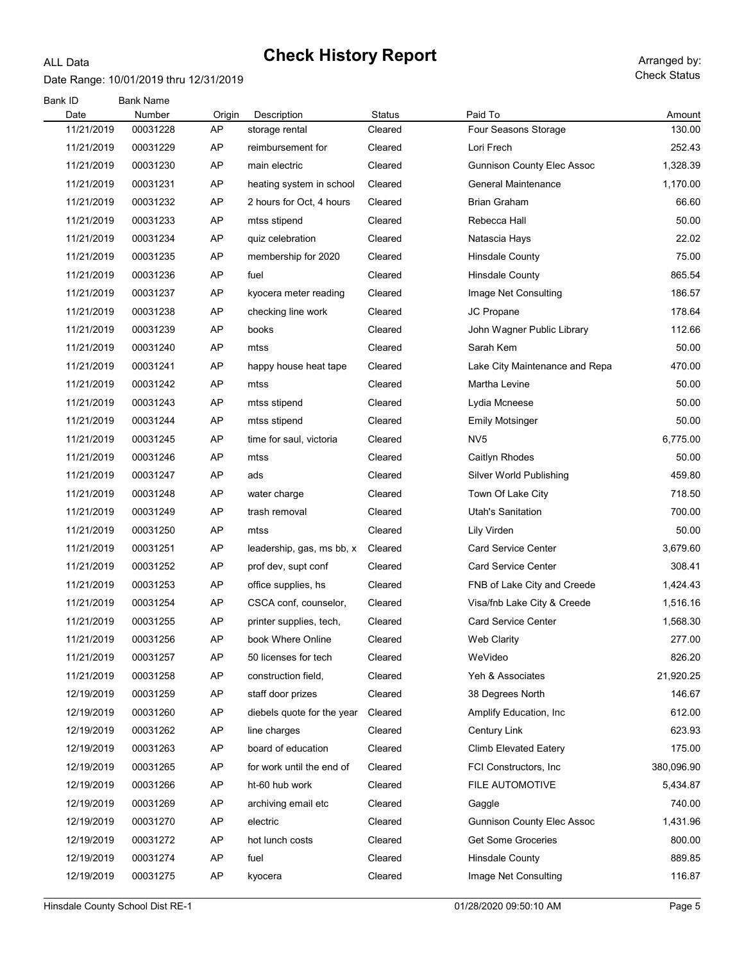#### Date Range: 10/01/2019 thru 12/31/2019

ALL Data

| <b>Bank ID</b><br>Date | <b>Bank Name</b><br>Number | Origin | Description                | <b>Status</b> | Paid To                           | Amount     |
|------------------------|----------------------------|--------|----------------------------|---------------|-----------------------------------|------------|
| 11/21/2019             | 00031228                   | AP     | storage rental             | Cleared       | Four Seasons Storage              | 130.00     |
| 11/21/2019             | 00031229                   | AP     | reimbursement for          | Cleared       | Lori Frech                        | 252.43     |
| 11/21/2019             | 00031230                   | AP     | main electric              | Cleared       | <b>Gunnison County Elec Assoc</b> | 1,328.39   |
| 11/21/2019             | 00031231                   | AP     | heating system in school   | Cleared       | General Maintenance               | 1,170.00   |
| 11/21/2019             | 00031232                   | AP     | 2 hours for Oct, 4 hours   | Cleared       | Brian Graham                      | 66.60      |
| 11/21/2019             | 00031233                   | AP     | mtss stipend               | Cleared       | Rebecca Hall                      | 50.00      |
| 11/21/2019             | 00031234                   | AP     | quiz celebration           | Cleared       | Natascia Hays                     | 22.02      |
| 11/21/2019             | 00031235                   | AP     | membership for 2020        | Cleared       | <b>Hinsdale County</b>            | 75.00      |
| 11/21/2019             | 00031236                   | AP     | fuel                       | Cleared       | Hinsdale County                   | 865.54     |
| 11/21/2019             | 00031237                   | AP     | kyocera meter reading      | Cleared       | Image Net Consulting              | 186.57     |
| 11/21/2019             | 00031238                   | AP     | checking line work         | Cleared       | JC Propane                        | 178.64     |
| 11/21/2019             | 00031239                   | AP     | books                      | Cleared       | John Wagner Public Library        | 112.66     |
| 11/21/2019             | 00031240                   | AP     | mtss                       | Cleared       | Sarah Kem                         | 50.00      |
| 11/21/2019             | 00031241                   | AP     | happy house heat tape      | Cleared       | Lake City Maintenance and Repa    | 470.00     |
| 11/21/2019             | 00031242                   | AP     | mtss                       | Cleared       | Martha Levine                     | 50.00      |
| 11/21/2019             | 00031243                   | AP     | mtss stipend               | Cleared       | Lydia Mcneese                     | 50.00      |
| 11/21/2019             | 00031244                   | AP     | mtss stipend               | Cleared       | <b>Emily Motsinger</b>            | 50.00      |
| 11/21/2019             | 00031245                   | AP     | time for saul, victoria    | Cleared       | NV <sub>5</sub>                   | 6,775.00   |
| 11/21/2019             | 00031246                   | AP     | mtss                       | Cleared       | Caitlyn Rhodes                    | 50.00      |
| 11/21/2019             | 00031247                   | AP     | ads                        | Cleared       | <b>Silver World Publishing</b>    | 459.80     |
| 11/21/2019             | 00031248                   | AP     | water charge               | Cleared       | Town Of Lake City                 | 718.50     |
| 11/21/2019             | 00031249                   | AP     | trash removal              | Cleared       | <b>Utah's Sanitation</b>          | 700.00     |
| 11/21/2019             | 00031250                   | AP     | mtss                       | Cleared       | Lily Virden                       | 50.00      |
| 11/21/2019             | 00031251                   | AP     | leadership, gas, ms bb, x  | Cleared       | <b>Card Service Center</b>        | 3,679.60   |
| 11/21/2019             | 00031252                   | AP     | prof dev, supt conf        | Cleared       | <b>Card Service Center</b>        | 308.41     |
| 11/21/2019             | 00031253                   | AP     | office supplies, hs        | Cleared       | FNB of Lake City and Creede       | 1,424.43   |
| 11/21/2019             | 00031254                   | AP     | CSCA conf, counselor,      | Cleared       | Visa/fnb Lake City & Creede       | 1,516.16   |
| 11/21/2019             | 00031255                   | AP     | printer supplies, tech,    | Cleared       | <b>Card Service Center</b>        | 1,568.30   |
| 11/21/2019             | 00031256                   | AP     | book Where Online          | Cleared       | <b>Web Clarity</b>                | 277.00     |
| 11/21/2019             | 00031257                   | AP     | 50 licenses for tech       | Cleared       | WeVideo                           | 826.20     |
| 11/21/2019             | 00031258                   | AP     | construction field,        | Cleared       | Yeh & Associates                  | 21,920.25  |
| 12/19/2019             | 00031259                   | AP     | staff door prizes          | Cleared       | 38 Degrees North                  | 146.67     |
| 12/19/2019             | 00031260                   | AP     | diebels quote for the year | Cleared       | Amplify Education, Inc.           | 612.00     |
| 12/19/2019             | 00031262                   | AP     | line charges               | Cleared       | <b>Century Link</b>               | 623.93     |
| 12/19/2019             | 00031263                   | AP     | board of education         | Cleared       | <b>Climb Elevated Eatery</b>      | 175.00     |
| 12/19/2019             | 00031265                   | AP     | for work until the end of  | Cleared       | FCI Constructors, Inc.            | 380,096.90 |
| 12/19/2019             | 00031266                   | AP     | ht-60 hub work             | Cleared       | FILE AUTOMOTIVE                   | 5,434.87   |
| 12/19/2019             | 00031269                   | AP     | archiving email etc        | Cleared       | Gaggle                            | 740.00     |
| 12/19/2019             | 00031270                   | AP     | electric                   | Cleared       | <b>Gunnison County Elec Assoc</b> | 1,431.96   |
| 12/19/2019             | 00031272                   | AP     | hot lunch costs            | Cleared       | <b>Get Some Groceries</b>         | 800.00     |
| 12/19/2019             | 00031274                   | AP     | fuel                       | Cleared       | <b>Hinsdale County</b>            | 889.85     |
| 12/19/2019             | 00031275                   | AP     | kyocera                    | Cleared       | Image Net Consulting              | 116.87     |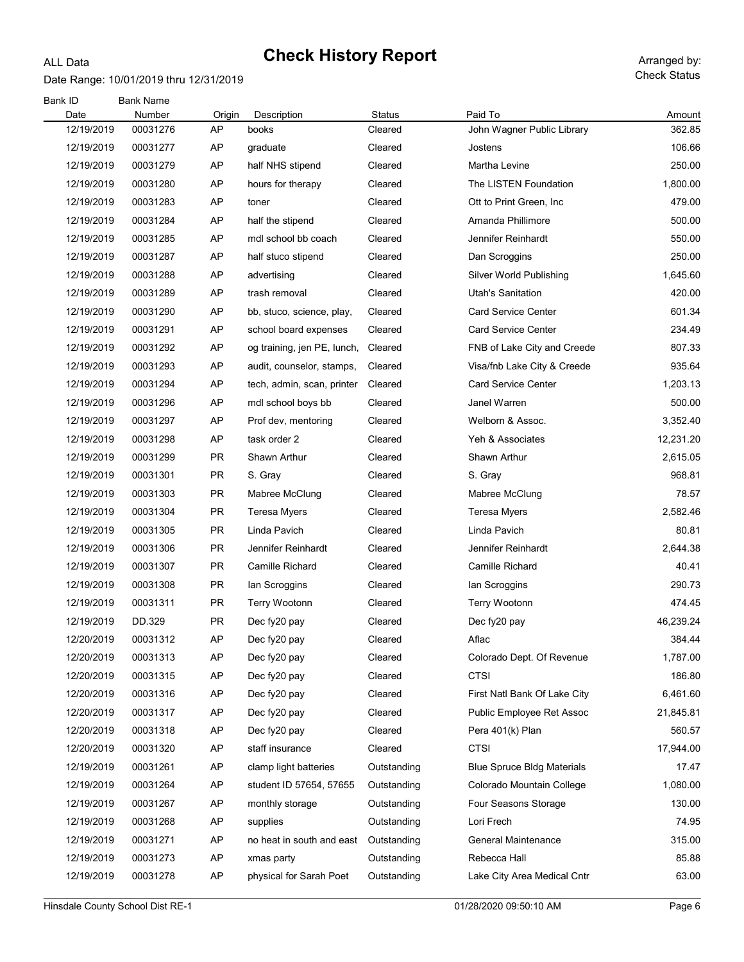#### Date Range: 10/01/2019 thru 12/31/2019

ALL Data

| <b>Bank ID</b><br>Date | <b>Bank Name</b><br>Number | Origin    | Description                 | <b>Status</b> | Paid To                           | Amount    |
|------------------------|----------------------------|-----------|-----------------------------|---------------|-----------------------------------|-----------|
| 12/19/2019             | 00031276                   | AP        | books                       | Cleared       | John Wagner Public Library        | 362.85    |
| 12/19/2019             | 00031277                   | AP        | graduate                    | Cleared       | Jostens                           | 106.66    |
| 12/19/2019             | 00031279                   | AP        | half NHS stipend            | Cleared       | Martha Levine                     | 250.00    |
| 12/19/2019             | 00031280                   | AP        | hours for therapy           | Cleared       | The LISTEN Foundation             | 1,800.00  |
| 12/19/2019             | 00031283                   | AP        | toner                       | Cleared       | Ott to Print Green, Inc.          | 479.00    |
| 12/19/2019             | 00031284                   | AP        | half the stipend            | Cleared       | Amanda Phillimore                 | 500.00    |
| 12/19/2019             | 00031285                   | AP        | mdl school bb coach         | Cleared       | Jennifer Reinhardt                | 550.00    |
| 12/19/2019             | 00031287                   | AP        | half stuco stipend          | Cleared       | Dan Scroggins                     | 250.00    |
| 12/19/2019             | 00031288                   | AP        | advertising                 | Cleared       | Silver World Publishing           | 1,645.60  |
| 12/19/2019             | 00031289                   | AP        | trash removal               | Cleared       | <b>Utah's Sanitation</b>          | 420.00    |
| 12/19/2019             | 00031290                   | AP        | bb, stuco, science, play,   | Cleared       | <b>Card Service Center</b>        | 601.34    |
| 12/19/2019             | 00031291                   | AP        | school board expenses       | Cleared       | <b>Card Service Center</b>        | 234.49    |
| 12/19/2019             | 00031292                   | AP        | og training, jen PE, lunch, | Cleared       | FNB of Lake City and Creede       | 807.33    |
| 12/19/2019             | 00031293                   | AP        | audit, counselor, stamps,   | Cleared       | Visa/fnb Lake City & Creede       | 935.64    |
| 12/19/2019             | 00031294                   | AP        | tech, admin, scan, printer  | Cleared       | <b>Card Service Center</b>        | 1,203.13  |
| 12/19/2019             | 00031296                   | AP        | mdl school boys bb          | Cleared       | Janel Warren                      | 500.00    |
| 12/19/2019             | 00031297                   | AP        | Prof dev, mentoring         | Cleared       | Welborn & Assoc.                  | 3,352.40  |
| 12/19/2019             | 00031298                   | AP        | task order 2                | Cleared       | Yeh & Associates                  | 12,231.20 |
| 12/19/2019             | 00031299                   | <b>PR</b> | Shawn Arthur                | Cleared       | Shawn Arthur                      | 2,615.05  |
| 12/19/2019             | 00031301                   | <b>PR</b> | S. Gray                     | Cleared       | S. Gray                           | 968.81    |
| 12/19/2019             | 00031303                   | <b>PR</b> | Mabree McClung              | Cleared       | Mabree McClung                    | 78.57     |
| 12/19/2019             | 00031304                   | PR        | <b>Teresa Myers</b>         | Cleared       | Teresa Myers                      | 2,582.46  |
| 12/19/2019             | 00031305                   | <b>PR</b> | Linda Pavich                | Cleared       | Linda Pavich                      | 80.81     |
| 12/19/2019             | 00031306                   | PR        | Jennifer Reinhardt          | Cleared       | Jennifer Reinhardt                | 2,644.38  |
| 12/19/2019             | 00031307                   | PR        | Camille Richard             | Cleared       | <b>Camille Richard</b>            | 40.41     |
| 12/19/2019             | 00031308                   | PR        | lan Scroggins               | Cleared       | lan Scroggins                     | 290.73    |
| 12/19/2019             | 00031311                   | <b>PR</b> | <b>Terry Wootonn</b>        | Cleared       | Terry Wootonn                     | 474.45    |
| 12/19/2019             | DD.329                     | <b>PR</b> | Dec fy20 pay                | Cleared       | Dec fy20 pay                      | 46,239.24 |
| 12/20/2019             | 00031312                   | AP        | Dec fy20 pay                | Cleared       | Aflac                             | 384.44    |
| 12/20/2019             | 00031313                   | AP        | Dec fy20 pay                | Cleared       | Colorado Dept. Of Revenue         | 1,787.00  |
| 12/20/2019             | 00031315                   | AP        | Dec fy20 pay                | Cleared       | <b>CTSI</b>                       | 186.80    |
| 12/20/2019             | 00031316                   | AP        | Dec fy20 pay                | Cleared       | First Natl Bank Of Lake City      | 6,461.60  |
| 12/20/2019             | 00031317                   | AP        | Dec fy20 pay                | Cleared       | Public Employee Ret Assoc         | 21,845.81 |
| 12/20/2019             | 00031318                   | AP        | Dec fy20 pay                | Cleared       | Pera 401(k) Plan                  | 560.57    |
| 12/20/2019             | 00031320                   | AP        | staff insurance             | Cleared       | <b>CTSI</b>                       | 17,944.00 |
| 12/19/2019             | 00031261                   | AP        | clamp light batteries       | Outstanding   | <b>Blue Spruce Bldg Materials</b> | 17.47     |
| 12/19/2019             | 00031264                   | AP        | student ID 57654, 57655     | Outstanding   | Colorado Mountain College         | 1,080.00  |
| 12/19/2019             | 00031267                   | AP        | monthly storage             | Outstanding   | Four Seasons Storage              | 130.00    |
| 12/19/2019             | 00031268                   | AP        | supplies                    | Outstanding   | Lori Frech                        | 74.95     |
| 12/19/2019             | 00031271                   | AP        | no heat in south and east   | Outstanding   | General Maintenance               | 315.00    |
| 12/19/2019             | 00031273                   | AP        | xmas party                  | Outstanding   | Rebecca Hall                      | 85.88     |
| 12/19/2019             | 00031278                   | AP        | physical for Sarah Poet     | Outstanding   | Lake City Area Medical Cntr       | 63.00     |